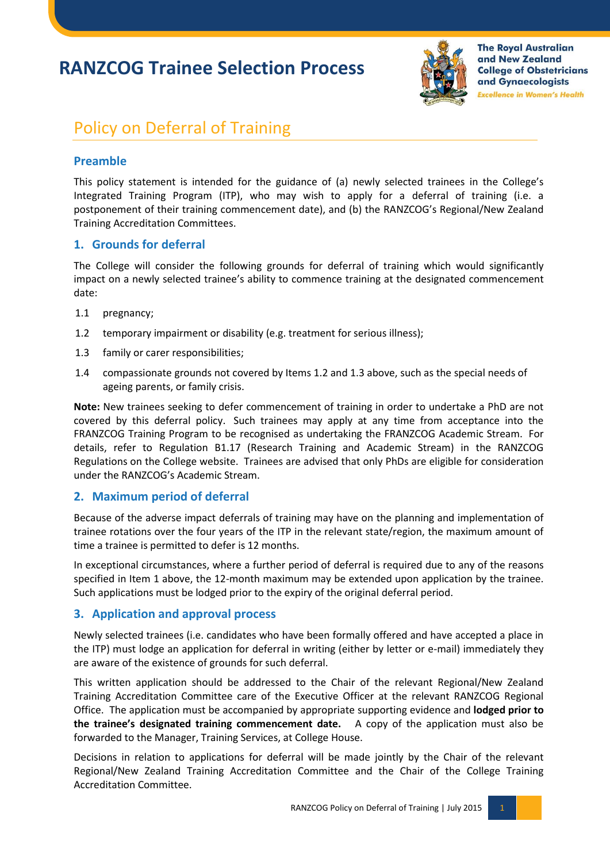# **RANZCOG Trainee Selection Process**



**The Royal Australian** and New Zealand **College of Obstetricians** and Gynaecologists **Excellence in Women's Health** 

## Policy on Deferral of Training

### **Preamble**

This policy statement is intended for the guidance of (a) newly selected trainees in the College's Integrated Training Program (ITP), who may wish to apply for a deferral of training (i.e. a postponement of their training commencement date), and (b) the RANZCOG's Regional/New Zealand Training Accreditation Committees.

#### **1. Grounds for deferral**

The College will consider the following grounds for deferral of training which would significantly impact on a newly selected trainee's ability to commence training at the designated commencement date:

- 1.1 pregnancy;
- 1.2 temporary impairment or disability (e.g. treatment for serious illness);
- 1.3 family or carer responsibilities;
- 1.4 compassionate grounds not covered by Items 1.2 and 1.3 above, such as the special needs of ageing parents, or family crisis.

**Note:** New trainees seeking to defer commencement of training in order to undertake a PhD are not covered by this deferral policy. Such trainees may apply at any time from acceptance into the FRANZCOG Training Program to be recognised as undertaking the FRANZCOG Academic Stream. For details, refer to Regulation B1.17 (Research Training and Academic Stream) in the RANZCOG Regulations on the College website. Trainees are advised that only PhDs are eligible for consideration under the RANZCOG's Academic Stream.

#### **2. Maximum period of deferral**

Because of the adverse impact deferrals of training may have on the planning and implementation of trainee rotations over the four years of the ITP in the relevant state/region, the maximum amount of time a trainee is permitted to defer is 12 months.

In exceptional circumstances, where a further period of deferral is required due to any of the reasons specified in Item 1 above, the 12-month maximum may be extended upon application by the trainee. Such applications must be lodged prior to the expiry of the original deferral period.

#### **3. Application and approval process**

Newly selected trainees (i.e. candidates who have been formally offered and have accepted a place in the ITP) must lodge an application for deferral in writing (either by letter or e-mail) immediately they are aware of the existence of grounds for such deferral.

This written application should be addressed to the Chair of the relevant Regional/New Zealand Training Accreditation Committee care of the Executive Officer at the relevant RANZCOG Regional Office. The application must be accompanied by appropriate supporting evidence and **lodged prior to the trainee's designated training commencement date.** A copy of the application must also be forwarded to the Manager, Training Services, at College House.

Decisions in relation to applications for deferral will be made jointly by the Chair of the relevant Regional/New Zealand Training Accreditation Committee and the Chair of the College Training Accreditation Committee.